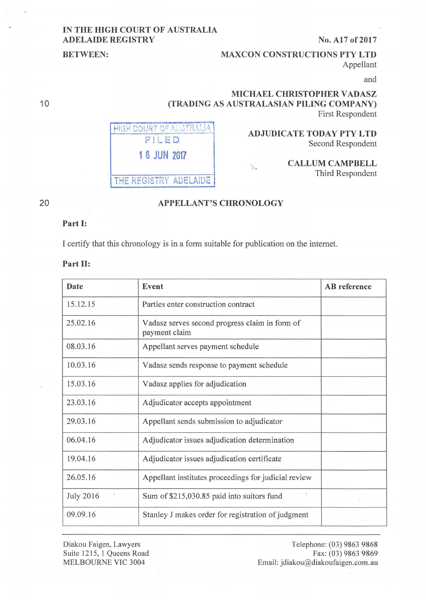### **IN THE HIGH COURT OF AUSTRALIA ADELAIDE REGISTRY** No. A17 of 2017

## **BETWEEN:** MAXCON CONSTRUCTIONS PTY LTD Appellant

and

## **MICHAEL CHRISTOPHER V ADASZ (TRADING AS AUSTRALASIAN PILING COMPANY)**  First Respondent

V.



#### **ADJUDICATE TODAY PTY LTD**  Second Respondent

#### **CALLUM CAMPBELL**  Third Respondent

20

# **APPELLANT'S CHRONOLOGY**

#### **Part 1:**

I certify that this chronology is in a form suitable for publication on the intemet.

#### Part II:

| Date             | Event                                                           | <b>AB</b> reference |
|------------------|-----------------------------------------------------------------|---------------------|
| 15.12.15         | Parties enter construction contract                             |                     |
| 25.02.16         | Vadasz serves second progress claim in form of<br>payment claim |                     |
| 08.03.16         | Appellant serves payment schedule                               |                     |
| 10.03.16         | Vadasz sends response to payment schedule                       |                     |
| 15.03.16         | Vadasz applies for adjudication                                 |                     |
| 23.03.16         | Adjudicator accepts appointment                                 |                     |
| 29.03.16         | Appellant sends submission to adjudicator                       |                     |
| 06.04.16         | Adjudicator issues adjudication determination                   |                     |
| 19.04.16         | Adjudicator issues adjudication certificate                     |                     |
| 26.05.16         | Appellant institutes proceedings for judicial review            |                     |
| <b>July 2016</b> | Sum of \$215,030.85 paid into suitors fund                      |                     |
| 09.09.16         | Stanley J makes order for registration of judgment              |                     |

Diakou Faigen, Lawyers Suite 1215, 1 Queens Road MELBOURNE VIC 3004

Telephone: (03) 9863 9868 Fax: (03) 9863 9869 Email: jdiakou@diakoufaigen.com.au

10